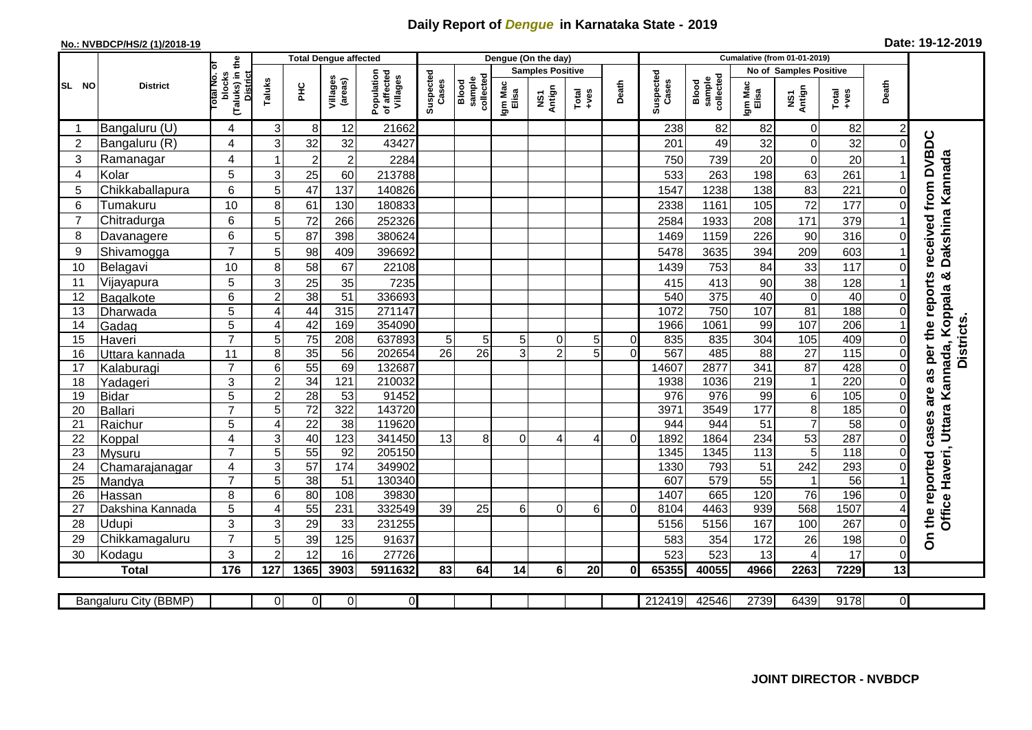## **Daily Report of** *Dengue* **in Karnataka State - 2019**

## **No.: NVBDCP/HS/2 (1)/2018-19 Date: 19-12-2019**

|                |                          |                                                   |                                  | <b>Total Dengue affected</b> |                        |                                       |                    |                              |                  | Dengue (On the day)               |                         |                |                    |                              |                  |                               |                   |                      |                                                                |
|----------------|--------------------------|---------------------------------------------------|----------------------------------|------------------------------|------------------------|---------------------------------------|--------------------|------------------------------|------------------|-----------------------------------|-------------------------|----------------|--------------------|------------------------------|------------------|-------------------------------|-------------------|----------------------|----------------------------------------------------------------|
|                |                          | ō                                                 |                                  |                              |                        |                                       |                    |                              |                  |                                   | <b>Samples Positive</b> |                |                    |                              |                  | <b>No of Samples Positive</b> |                   |                      |                                                                |
| SL NO          | <b>District</b>          | (Taluks) in the<br>District<br>otal No.<br>blocks | Taluks                           | PНC                          | Villages<br>(areas)    | Population<br>of affected<br>Villages | Suspected<br>Cases | collected<br>sample<br>Blood | Igm Mac<br>Elisa | Antign<br>$\overline{\mathbf{s}}$ | $Tota$<br>$+ves$        | Death          | Suspected<br>Cases | sample<br>collected<br>Blood | Igm Mac<br>Elisa | NS1<br>Antign                 | Total<br>+ves     | Death                |                                                                |
|                | Bangaluru (U)            | 4                                                 | 3                                | 8                            | 12                     | 21662                                 |                    |                              |                  |                                   |                         |                | 238                | 82                           | 82               | $\pmb{0}$                     | 82                | $\overline{c}$       |                                                                |
| $\overline{2}$ | Bangaluru (R)            | 4                                                 | 3                                | 32                           | 32                     | 43427                                 |                    |                              |                  |                                   |                         |                | 201                | 49                           | 32               | $\mathbf 0$                   | 32                | $\Omega$             |                                                                |
| 3              | Ramanagar                | 4                                                 |                                  | $\overline{c}$               | $\overline{c}$         | 2284                                  |                    |                              |                  |                                   |                         |                | 750                | 739                          | 20               | $\mathbf 0$                   | 20                |                      | received from DVBDC<br>Dakshina Kannada                        |
| 4              | Kolar                    | 5                                                 | 3                                | 25                           | 60                     | 213788                                |                    |                              |                  |                                   |                         |                | 533                | 263                          | 198              | 63                            | 261               |                      |                                                                |
| 5              | Chikkaballapura          | 6                                                 | 5                                | 47                           | 137                    | 140826                                |                    |                              |                  |                                   |                         |                | 1547               | 1238                         | 138              | 83                            | 221               | 0                    |                                                                |
| 6              | Tumakuru                 | 10                                                | 8                                | 61                           | 130                    | 180833                                |                    |                              |                  |                                   |                         |                | 2338               | 1161                         | 105              | 72                            | 177               | $\Omega$             |                                                                |
| 7              | Chitradurga              | $6\phantom{1}$                                    | 5                                | 72                           | 266                    | 252326                                |                    |                              |                  |                                   |                         |                | 2584               | 1933                         | 208              | 171                           | 379               |                      |                                                                |
| 8              | Davanagere               | 6                                                 | 5                                | 87                           | 398                    | 380624                                |                    |                              |                  |                                   |                         |                | 1469               | 1159                         | 226              | 90                            | 316               | 0                    |                                                                |
| 9              | Shivamogga               | $\overline{7}$                                    | 5                                | 98                           | 409                    | 396692                                |                    |                              |                  |                                   |                         |                | 5478               | 3635                         | 394              | 209                           | 603               |                      |                                                                |
| 10             | Belagavi                 | 10                                                | 8                                | 58                           | 67                     | 22108                                 |                    |                              |                  |                                   |                         |                | 1439               | 753                          | 84               | 33                            | 117               | $\Omega$             |                                                                |
| 11             | Vijayapura               | 5                                                 | 3                                | 25                           | 35                     | 7235                                  |                    |                              |                  |                                   |                         |                | 415                | 413                          | 90               | 38                            | 128               |                      | as per the reports                                             |
| 12             | Bagalkote                | 6                                                 | $\overline{2}$                   | 38                           | $\overline{51}$        | 336693                                |                    |                              |                  |                                   |                         |                | 540                | 375                          | 40               | $\overline{0}$                | 40                |                      |                                                                |
| 13             | Dharwada                 | 5                                                 | 4                                | 44                           | 315                    | 271147                                |                    |                              |                  |                                   |                         |                | 1072               | 750                          | 107              | 81                            | 188               | $\Omega$             |                                                                |
| 14             | Gadag                    | $\overline{5}$                                    | 4                                | 42                           | 169                    | 354090                                |                    |                              |                  |                                   |                         |                | 1966               | 1061                         | 99               | 107                           | 206               |                      |                                                                |
| 15             | Haveri                   | $\overline{7}$                                    | 5                                | $\overline{75}$              | 208                    | 637893                                | 5 <sub>5</sub>     | 5                            | 5 <sub>l</sub>   | 0                                 | 5                       | $\overline{0}$ | 835                | 835                          | 304              | 105                           | 409               | $\Omega$             |                                                                |
| 16             | Uttara kannada           | 11                                                | 8                                | 35                           | 56                     | 202654                                | $\overline{26}$    | $\overline{26}$              | зI               | $\overline{2}$                    | 5                       | $\Omega$       | 567                | 485                          | $\overline{88}$  | $\overline{27}$               | $\frac{115}{115}$ | $\Omega$             | <b>Districts</b>                                               |
| 17             | Kalaburagi               | $\overline{7}$                                    | 6                                | 55                           | 69                     | 132687                                |                    |                              |                  |                                   |                         |                | 14607              | 2877                         | 341              | 87                            | 428               | $\Omega$             |                                                                |
| 18             | Yadageri                 | 3                                                 | $\mathbf 2$                      | 34                           | 121                    | 210032                                |                    |                              |                  |                                   |                         |                | 1938               | 1036                         | 219              | $\mathbf{1}$                  | 220               | $\Omega$             |                                                                |
| 19             | <b>Bidar</b>             | 5                                                 | $\overline{2}$                   | 28                           | $\overline{53}$        | 91452                                 |                    |                              |                  |                                   |                         |                | 976                | $\overline{976}$             | 99               | $\overline{6}$                | 105               | $\Omega$             | are                                                            |
| 20             | Ballari                  | $\overline{7}$                                    | 5                                | 72                           | $\overline{322}$       | 143720                                |                    |                              |                  |                                   |                         |                | 3971               | 3549                         | 177              | $\overline{8}$                | 185               | 0                    |                                                                |
| 21             | Raichur                  | 5                                                 | 4                                | $\overline{22}$              | 38                     | 119620                                |                    |                              |                  |                                   |                         |                | 944                | 944                          | 51               | $\overline{7}$                | 58                |                      |                                                                |
| 22             | Koppal                   | 4<br>$\overline{7}$                               | 3                                | 40<br>55                     | 123<br>$\overline{92}$ | 341450                                | 13                 | 8                            | $\Omega$         | 4                                 | $\overline{A}$          | $\Omega$       | 1892               | 1864                         | 234<br>113       | 53                            | 287<br>118        | $\Omega$<br>$\Omega$ |                                                                |
| 23<br>24       | Mysuru                   | 4                                                 | $\overline{5}$<br>$\overline{3}$ | 57                           | 174                    | 205150<br>349902                      |                    |                              |                  |                                   |                         |                | 1345<br>1330       | 1345<br>793                  | $\overline{51}$  | $\overline{5}$<br>242         | 293               | $\Omega$             |                                                                |
| 25             | Chamarajanagar<br>Mandya | $\overline{7}$                                    | 5                                | $\overline{38}$              | 51                     | 130340                                |                    |                              |                  |                                   |                         |                | 607                | $\overline{579}$             | 55               | $\mathbf 1$                   | 56                |                      |                                                                |
| 26             | Hassan                   | 8                                                 | 6                                | 80                           | 108                    | 39830                                 |                    |                              |                  |                                   |                         |                | 1407               | 665                          | 120              | 76                            | 196               | $\Omega$             |                                                                |
| 27             | Dakshina Kannada         | 5                                                 | $\overline{4}$                   | $\overline{55}$              | 231                    | 332549                                | 39                 | 25                           | 61               | $\overline{0}$                    | 6                       | $\Omega$       | 8104               | 4463                         | 939              | 568                           | 1507              |                      |                                                                |
| 28             | Udupi                    | 3                                                 | 3                                | 29                           | 33                     | 231255                                |                    |                              |                  |                                   |                         |                | 5156               | 5156                         | 167              | 100                           | 267               | $\Omega$             | Office Haveri, Uttara Kannada, Koppala &<br>the reported cases |
| 29             | Chikkamagaluru           | $\overline{7}$                                    | 5                                | 39                           | 125                    | 91637                                 |                    |                              |                  |                                   |                         |                | 583                | 354                          | 172              | 26                            | 198               | 0                    | င်္                                                            |
| 30             | Kodagu                   | 3                                                 | $\overline{2}$                   | 12                           | 16                     | 27726                                 |                    |                              |                  |                                   |                         |                | 523                | 523                          | 13               | $\overline{4}$                | 17                | $\Omega$             |                                                                |
|                | <b>Total</b>             | 176                                               | 127                              | 1365                         | 3903                   | 5911632                               | 83                 | 64                           | 14               | 6                                 | 20                      | 0              | 65355              | 40055                        | 4966             | 2263                          | 7229              | 13                   |                                                                |
|                |                          |                                                   |                                  |                              |                        |                                       |                    |                              |                  |                                   |                         |                |                    |                              |                  |                               |                   |                      |                                                                |
|                | Bangaluru City (BBMP)    |                                                   | $\overline{0}$                   | $\overline{0}$               | $\overline{0}$         | $\overline{O}$                        |                    |                              |                  |                                   |                         |                | 212419             | 42546                        | 2739             | 6439                          | 9178              | $\overline{0}$       |                                                                |